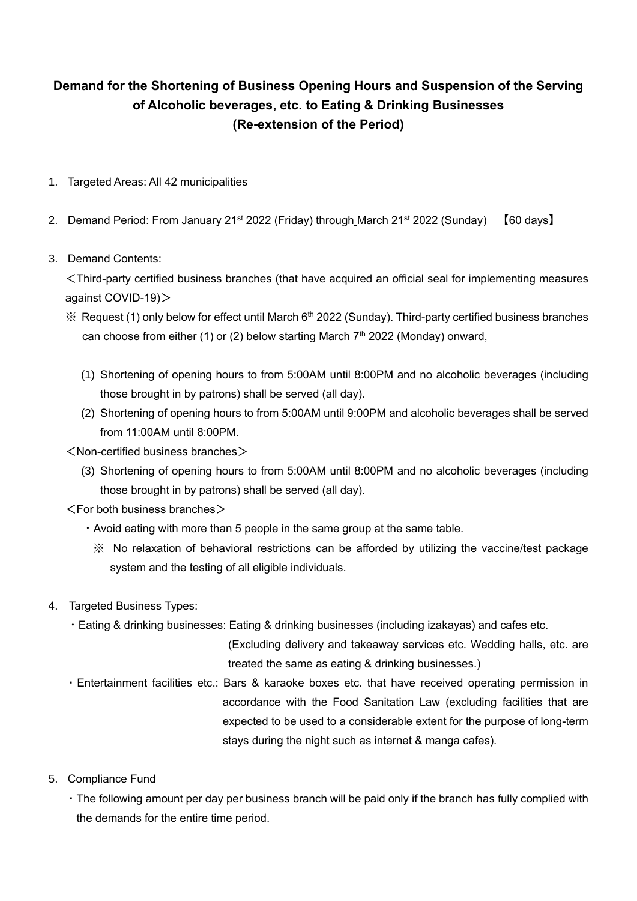## **Demand for the Shortening of Business Opening Hours and Suspension of the Serving of Alcoholic beverages, etc. to Eating & Drinking Businesses (Re-extension of the Period)**

- 1. Targeted Areas: All 42 municipalities
- 2. Demand Period: From January 21<sup>st</sup> 2022 (Friday) through March 21<sup>st</sup> 2022 (Sunday) 【60 days】

## 3. Demand Contents:

<Third-party certified business branches (that have acquired an official seal for implementing measures against COVID-19)>

- $\%$  Request (1) only below for effect until March 6<sup>th</sup> 2022 (Sunday). Third-party certified business branches can choose from either (1) or (2) below starting March  $7<sup>th</sup>$  2022 (Monday) onward,
	- (1) Shortening of opening hours to from 5:00AM until 8:00PM and no alcoholic beverages (including those brought in by patrons) shall be served (all day).
	- (2) Shortening of opening hours to from 5:00AM until 9:00PM and alcoholic beverages shall be served from 11:00AM until 8:00PM.
- $\leq$  Non-certified business branches  $\geq$ 
	- (3) Shortening of opening hours to from 5:00AM until 8:00PM and no alcoholic beverages (including those brought in by patrons) shall be served (all day).
- $\leq$  For both business branches $>$ 
	- ・Avoid eating with more than 5 people in the same group at the same table.
		- ※ No relaxation of behavioral restrictions can be afforded by utilizing the vaccine/test package system and the testing of all eligible individuals.
- 4. Targeted Business Types:
	- ・Eating & drinking businesses: Eating & drinking businesses (including izakayas) and cafes etc.

(Excluding delivery and takeaway services etc. Wedding halls, etc. are treated the same as eating & drinking businesses.)

- ・Entertainment facilities etc.: Bars & karaoke boxes etc. that have received operating permission in accordance with the Food Sanitation Law (excluding facilities that are expected to be used to a considerable extent for the purpose of long-term stays during the night such as internet & manga cafes).
- 5. Compliance Fund
	- ・The following amount per day per business branch will be paid only if the branch has fully complied with the demands for the entire time period.